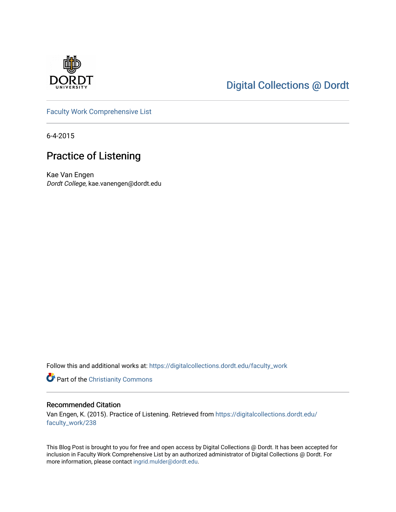

# [Digital Collections @ Dordt](https://digitalcollections.dordt.edu/)

[Faculty Work Comprehensive List](https://digitalcollections.dordt.edu/faculty_work)

6-4-2015

## Practice of Listening

Kae Van Engen Dordt College, kae.vanengen@dordt.edu

Follow this and additional works at: [https://digitalcollections.dordt.edu/faculty\\_work](https://digitalcollections.dordt.edu/faculty_work?utm_source=digitalcollections.dordt.edu%2Ffaculty_work%2F238&utm_medium=PDF&utm_campaign=PDFCoverPages) 

Part of the [Christianity Commons](http://network.bepress.com/hgg/discipline/1181?utm_source=digitalcollections.dordt.edu%2Ffaculty_work%2F238&utm_medium=PDF&utm_campaign=PDFCoverPages) 

#### Recommended Citation

Van Engen, K. (2015). Practice of Listening. Retrieved from [https://digitalcollections.dordt.edu/](https://digitalcollections.dordt.edu/faculty_work/238?utm_source=digitalcollections.dordt.edu%2Ffaculty_work%2F238&utm_medium=PDF&utm_campaign=PDFCoverPages) [faculty\\_work/238](https://digitalcollections.dordt.edu/faculty_work/238?utm_source=digitalcollections.dordt.edu%2Ffaculty_work%2F238&utm_medium=PDF&utm_campaign=PDFCoverPages)

This Blog Post is brought to you for free and open access by Digital Collections @ Dordt. It has been accepted for inclusion in Faculty Work Comprehensive List by an authorized administrator of Digital Collections @ Dordt. For more information, please contact [ingrid.mulder@dordt.edu.](mailto:ingrid.mulder@dordt.edu)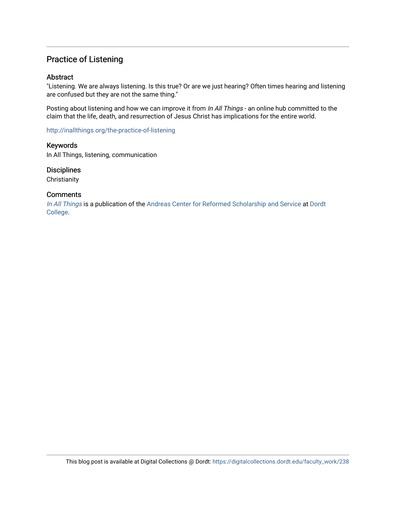## Practice of Listening

#### Abstract

"Listening. We are always listening. Is this true? Or are we just hearing? Often times hearing and listening are confused but they are not the same thing."

Posting about listening and how we can improve it from In All Things - an online hub committed to the claim that the life, death, and resurrection of Jesus Christ has implications for the entire world.

<http://inallthings.org/the-practice-of-listening>

Keywords In All Things, listening, communication

**Disciplines** 

**Christianity** 

#### **Comments**

[In All Things](http://inallthings.org/) is a publication of the [Andreas Center for Reformed Scholarship and Service](http://www.dordt.edu/services_support/andreas_center/) at Dordt [College](http://www.dordt.edu/).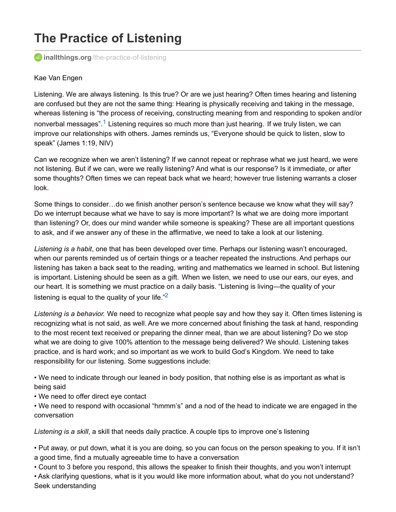# **The Practice of Listening**

**inallthings.org**[/the-practice-of-listening](http://inallthings.org/the-practice-of-listening)

#### Kae Van Engen

Listening. We are always listening. Is this true? Or are we just hearing? Often times hearing and listening are confused but they are not the same thing: Hearing is physically receiving and taking in the message, whereas listening is "the process of receiving, constructing meaning from and responding to spoken and/or nonverbal messages".<sup>[1](http://inallthings.org/the-practice-of-listening#fn1-4694)</sup> Listening requires so much more than just hearing. If we truly listen, we can improve our relationships with others. James reminds us, "Everyone should be quick to listen, slow to speak" (James 1:19, NIV)

Can we recognize when we aren't listening? If we cannot repeat or rephrase what we just heard, we were not listening. But if we can, were we really listening? And what is our response? Is it immediate, or after some thoughts? Often times we can repeat back what we heard; however true listening warrants a closer look.

Some things to consider…do we finish another person's sentence because we know what they will say? Do we interrupt because what we have to say is more important? Is what we are doing more important than listening? Or, does our mind wander while someone is speaking? These are all important questions to ask, and if we answer any of these in the affirmative, we need to take a look at our listening.

*Listening is a habit*, one that has been developed over time. Perhaps our listening wasn't encouraged, when our parents reminded us of certain things or a teacher repeated the instructions. And perhaps our listening has taken a back seat to the reading, writing and mathematics we learned in school. But listening is important. Listening should be seen as a gift. When we listen, we need to use our ears, our eyes, and our heart. It is something we must practice on a daily basis. "Listening is living—the quality of your listening is equal to the quality of your life. $\sqrt[2]{2}$  $\sqrt[2]{2}$  $\sqrt[2]{2}$ 

*Listening is a behavior.* We need to recognize what people say and how they say it. Often times listening is recognizing what is not said, as well. Are we more concerned about finishing the task at hand, responding to the most recent text received or preparing the dinner meal, than we are about listening? Do we stop what we are doing to give 100% attention to the message being delivered? We should. Listening takes practice, and is hard work; and so important as we work to build God's Kingdom. We need to take responsibility for our listening. Some suggestions include:

• We need to indicate through our leaned in body position, that nothing else is as important as what is being said

• We need to offer direct eye contact

• We need to respond with occasional "hmmm's" and a nod of the head to indicate we are engaged in the conversation

*Listening is a skill*, a skill that needs daily practice. A couple tips to improve one's listening

• Put away, or put down, what it is you are doing, so you can focus on the person speaking to you. If it isn't a good time, find a mutually agreeable time to have a conversation

• Count to 3 before you respond, this allows the speaker to finish their thoughts, and you won't interrupt

• Ask clarifying questions, what is it you would like more information about, what do you not understand? Seek understanding